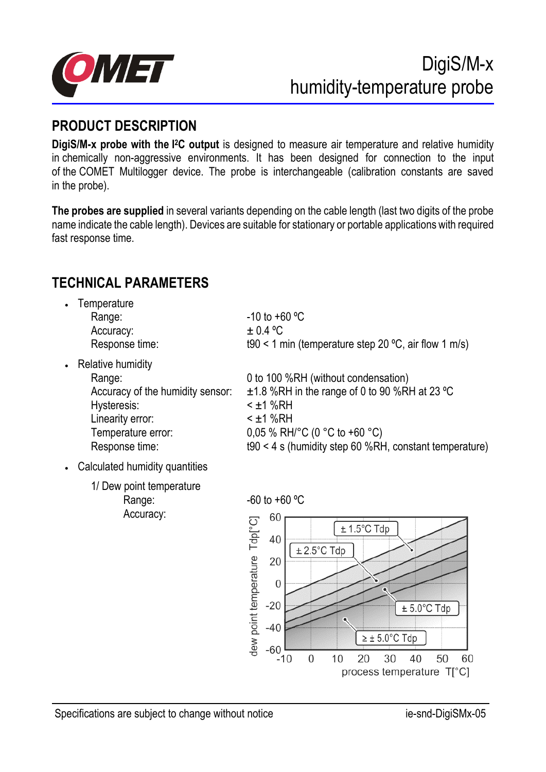

# **PRODUCT DESCRIPTION**

**DigiS/M-x probe with the I <sup>2</sup>C output** is designed to measure air temperature and relative humidity in chemically non-aggressive environments. It has been designed for connection to the input of the COMET Multilogger device. The probe is interchangeable (calibration constants are saved in the probe).

**The probes are supplied** in several variants depending on the cable length (last two digits of the probe name indicate the cable length). Devices are suitable for stationary or portable applications with required fast response time.

# **TECHNICAL PARAMETERS**

- **Temperature** Range:  $\blacksquare$  -10 to +60  $\mathrm{°C}$ Accuracy:  $\pm 0.4 \text{ °C}$ 
	-

• Relative humidity Hysteresis: < ±1 %RH Linearity error:  $\tan \theta$  <  $\pm$ 1 %RH Temperature error:  $0.05 \% RH/C (0 °C to +60 °C)$ 

Response time: t90 < 1 min (temperature step 20  $\degree$ C, air flow 1 m/s)

Range: 0 to 100 %RH (without condensation) Accuracy of the humidity sensor:  $\pm 1.8$  %RH in the range of 0 to 90 %RH at 23 °C

Response time: t90 < 4 s (humidity step 60 %RH, constant temperature)

- Calculated humidity quantities
	- 1/ Dew point temperature Range:  $-60$  to  $+60$  °C Accuracy:

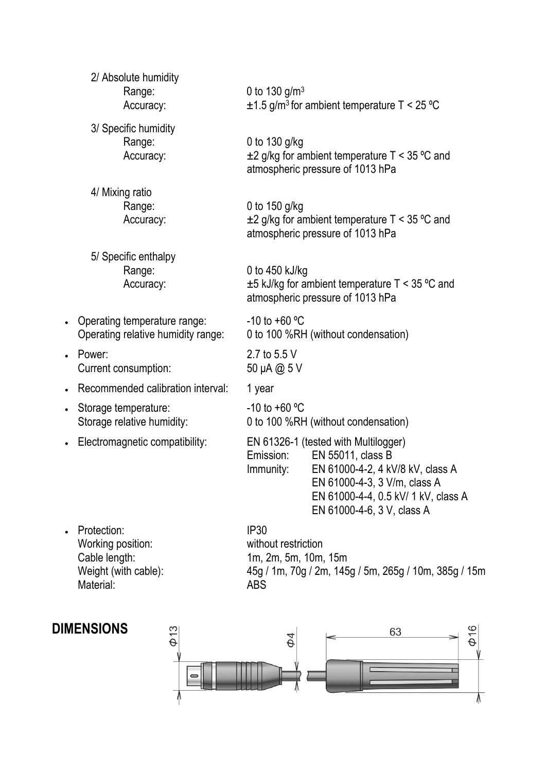|           | 2/ Absolute humidity<br>Range:<br>Accuracy:                        | 0 to 130 $g/m^3$<br>$\pm$ 1.5 g/m <sup>3</sup> for ambient temperature T < 25 °C                                                                                                                                             |  |
|-----------|--------------------------------------------------------------------|------------------------------------------------------------------------------------------------------------------------------------------------------------------------------------------------------------------------------|--|
|           | 3/ Specific humidity<br>Range:<br>Accuracy:                        | 0 to $130$ g/kg<br>$\pm$ 2 g/kg for ambient temperature T < 35 °C and<br>atmospheric pressure of 1013 hPa                                                                                                                    |  |
|           | 4/ Mixing ratio<br>Range:<br>Accuracy:                             | 0 to 150 g/kg<br>$\pm 2$ g/kg for ambient temperature T < 35 °C and<br>atmospheric pressure of 1013 hPa                                                                                                                      |  |
|           | 5/ Specific enthalpy<br>Range:<br>Accuracy:                        | 0 to 450 kJ/kg<br>$\pm$ 5 kJ/kg for ambient temperature T < 35 °C and<br>atmospheric pressure of 1013 hPa                                                                                                                    |  |
| $\bullet$ | Operating temperature range:<br>Operating relative humidity range: | $-10$ to $+60$ °C<br>0 to 100 %RH (without condensation)                                                                                                                                                                     |  |
| $\bullet$ | Power:<br>Current consumption:                                     | 2.7 to 5.5 V<br>50 µA @ 5 V                                                                                                                                                                                                  |  |
| $\bullet$ | Recommended calibration interval:                                  | 1 year                                                                                                                                                                                                                       |  |
| $\bullet$ | Storage temperature:<br>Storage relative humidity:                 | $-10$ to $+60$ °C<br>0 to 100 %RH (without condensation)                                                                                                                                                                     |  |
|           | - Electromagnetic compatibility:                                   | EN 61326-1 (tested with Multilogger)<br>EN 55011, class B<br>Emission:<br>EN 61000-4-2, 4 kV/8 kV, class A<br>Immunity:<br>EN 61000-4-3, 3 V/m, class A<br>EN 61000-4-4, 0.5 kV/ 1 kV, class A<br>EN 61000-4-6, 3 V, class A |  |
|           | Protection:<br>Working position:<br>Cable length:                  | <b>IP30</b><br>without restriction<br>1m, 2m, 5m, 10m, 15m                                                                                                                                                                   |  |

Material:<br>
Material:<br>
Material:

**DIMENSIONS**

Weight (with cable): 45g / 1m, 70g / 2m, 145g / 5m, 265g / 10m, 385g / 15m

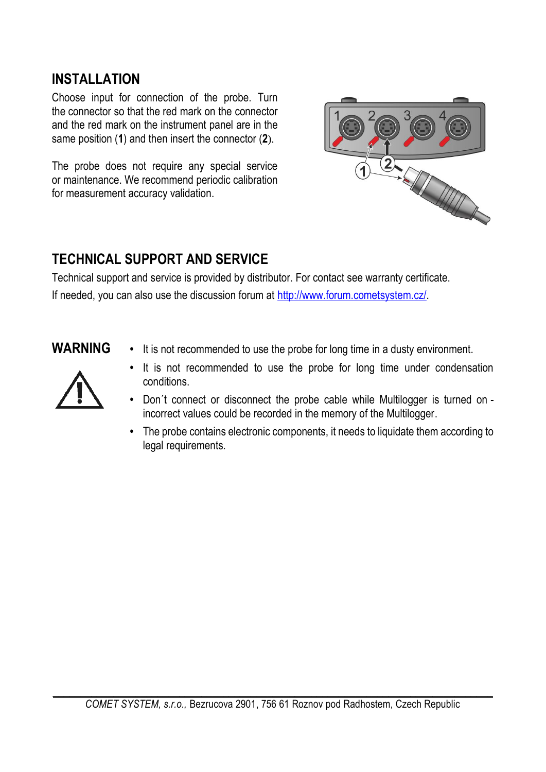#### **INSTALLATION**

Choose input for connection of the probe. Turn the connector so that the red mark on the connector and the red mark on the instrument panel are in the same position (**1**) and then insert the connector (**2**).

The probe does not require any special service or maintenance. We recommend periodic calibration for measurement accuracy validation.



### **TECHNICAL SUPPORT AND SERVICE**

Technical support and service is provided by distributor. For contact see warranty certificate. If needed, you can also use the discussion forum at [http://www.forum.cometsystem.cz/.](http://www.forum.cometsystem.cz/)

**WARNING •** It is not recommended to use the probe for long time in a dusty environment.



- **•** It is not recommended to use the probe for long time under condensation conditions.
- Don´t connect or disconnect the probe cable while Multilogger is turned on incorrect values could be recorded in the memory of the Multilogger.
- **•** The probe contains electronic components, it needs to liquidate them according to legal requirements.